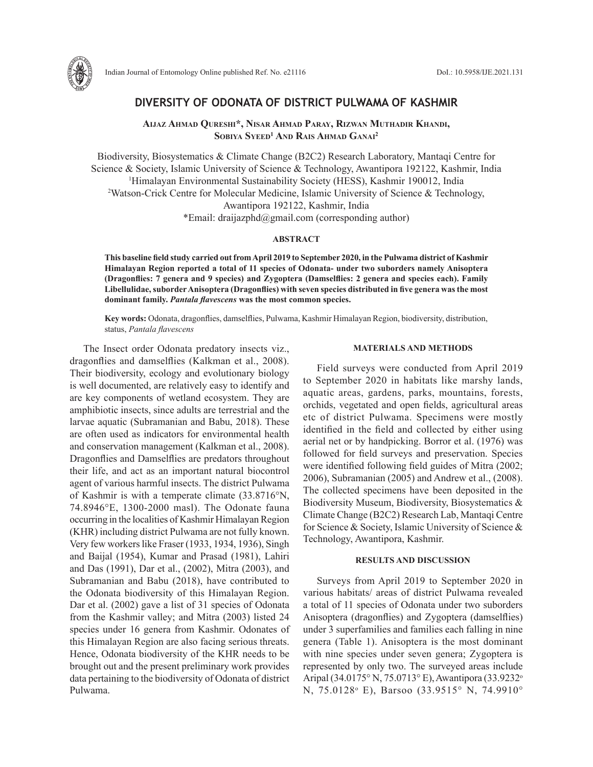

Indian Journal of Entomology Online published Ref. No. e21116 DoI.: 10.5958/IJE.2021.131

## **DIVERSITY OF ODONATA OF DISTRICT PULWAMA OF KASHMIR**

**Aijaz Ahmad Qureshi\*, Nisar Ahmad Paray, Rizwan Muthadir Khandi, Sobiya Syeed1 And Rais Ahmad Ganai 2**

Biodiversity, Biosystematics & Climate Change (B2C2) Research Laboratory, Mantaqi Centre for Science & Society, Islamic University of Science & Technology, Awantipora 192122, Kashmir, India 1 Himalayan Environmental Sustainability Society (HESS), Kashmir 190012, India 2 Watson-Crick Centre for Molecular Medicine, Islamic University of Science & Technology, Awantipora 192122, Kashmir, India \*Email: draijazphd@gmail.com (corresponding author)

#### **ABSTRACT**

**This baseline field study carried out from April 2019 to September 2020, in the Pulwama district of Kashmir Himalayan Region reported a total of 11 species of Odonata- under two suborders namely Anisoptera (Dragonflies: 7 genera and 9 species) and Zygoptera (Damselflies: 2 genera and species each). Family Libellulidae, suborder Anisoptera (Dragonflies) with seven species distributed in five genera was the most dominant family.** *Pantala flavescens* **was the most common species.** 

**Key words:** Odonata, dragonflies, damselflies, Pulwama, Kashmir Himalayan Region, biodiversity, distribution, status, *Pantala flavescens*

The Insect order Odonata predatory insects viz., dragonflies and damselflies (Kalkman et al., 2008). Their biodiversity, ecology and evolutionary biology is well documented, are relatively easy to identify and are key components of wetland ecosystem. They are amphibiotic insects, since adults are terrestrial and the larvae aquatic (Subramanian and Babu, 2018). These are often used as indicators for environmental health and conservation management (Kalkman et al., 2008). Dragonflies and Damselflies are predators throughout their life, and act as an important natural biocontrol agent of various harmful insects. The district Pulwama of Kashmir is with a temperate climate (33.8716°N, 74.8946°E, 1300-2000 masl). The Odonate fauna occurring in the localities of Kashmir Himalayan Region (KHR) including district Pulwama are not fully known. Very few workers like Fraser (1933, 1934, 1936), Singh and Baijal (1954), Kumar and Prasad (1981), Lahiri and Das (1991), Dar et al., (2002), Mitra (2003), and Subramanian and Babu (2018), have contributed to the Odonata biodiversity of this Himalayan Region. Dar et al. (2002) gave a list of 31 species of Odonata from the Kashmir valley; and Mitra (2003) listed 24 species under 16 genera from Kashmir. Odonates of this Himalayan Region are also facing serious threats. Hence, Odonata biodiversity of the KHR needs to be brought out and the present preliminary work provides data pertaining to the biodiversity of Odonata of district Pulwama.

#### **MATERIALS AND METHODS**

Field surveys were conducted from April 2019 to September 2020 in habitats like marshy lands, aquatic areas, gardens, parks, mountains, forests, orchids, vegetated and open fields, agricultural areas etc of district Pulwama. Specimens were mostly identified in the field and collected by either using aerial net or by handpicking. Borror et al. (1976) was followed for field surveys and preservation. Species were identified following field guides of Mitra (2002; 2006), Subramanian (2005) and Andrew et al., (2008). The collected specimens have been deposited in the Biodiversity Museum, Biodiversity, Biosystematics & Climate Change (B2C2) Research Lab, Mantaqi Centre for Science & Society, Islamic University of Science & Technology, Awantipora, Kashmir.

#### **RESULTS AND DISCUSSION**

Surveys from April 2019 to September 2020 in various habitats/ areas of district Pulwama revealed a total of 11 species of Odonata under two suborders Anisoptera (dragonflies) and Zygoptera (damselflies) under 3 superfamilies and families each falling in nine genera (Table 1). Anisoptera is the most dominant with nine species under seven genera; Zygoptera is represented by only two. The surveyed areas include Aripal (34.0175° N, 75.0713° E), Awantipora (33.9232° N, 75.0128° E), Barsoo (33.9515° N, 74.9910°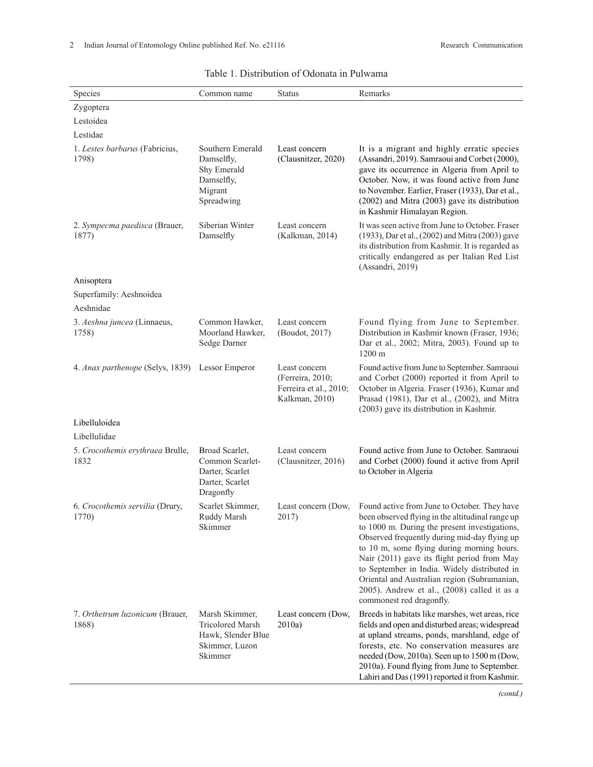| Species                                         | Common name                                                                                  | <b>Status</b>                                                                 | Remarks                                                                                                                                                                                                                                                                                                                                                                                                                                                                                       |  |  |
|-------------------------------------------------|----------------------------------------------------------------------------------------------|-------------------------------------------------------------------------------|-----------------------------------------------------------------------------------------------------------------------------------------------------------------------------------------------------------------------------------------------------------------------------------------------------------------------------------------------------------------------------------------------------------------------------------------------------------------------------------------------|--|--|
| Zygoptera                                       |                                                                                              |                                                                               |                                                                                                                                                                                                                                                                                                                                                                                                                                                                                               |  |  |
| Lestoidea                                       |                                                                                              |                                                                               |                                                                                                                                                                                                                                                                                                                                                                                                                                                                                               |  |  |
| Lestidae                                        |                                                                                              |                                                                               |                                                                                                                                                                                                                                                                                                                                                                                                                                                                                               |  |  |
| 1. Lestes barbarus (Fabricius,<br>1798)         | Southern Emerald<br>Damselfly,<br>Shy Emerald<br>Damselfly,<br>Migrant<br>Spreadwing         | Least concern<br>(Clausnitzer, 2020)                                          | It is a migrant and highly erratic species<br>(Assandri, 2019). Samraoui and Corbet (2000),<br>gave its occurrence in Algeria from April to<br>October. Now, it was found active from June<br>to November. Earlier, Fraser (1933), Dar et al.,<br>(2002) and Mitra (2003) gave its distribution<br>in Kashmir Himalayan Region.                                                                                                                                                               |  |  |
| 2. Sympecma paedisca (Brauer,<br>1877)          | Siberian Winter<br>Damselfly                                                                 | Least concern<br>(Kalkman, 2014)                                              | It was seen active from June to October. Fraser<br>(1933), Dar et al., (2002) and Mitra (2003) gave<br>its distribution from Kashmir. It is regarded as<br>critically endangered as per Italian Red List<br>(Assandri, 2019)                                                                                                                                                                                                                                                                  |  |  |
| Anisoptera                                      |                                                                                              |                                                                               |                                                                                                                                                                                                                                                                                                                                                                                                                                                                                               |  |  |
| Superfamily: Aeshnoidea                         |                                                                                              |                                                                               |                                                                                                                                                                                                                                                                                                                                                                                                                                                                                               |  |  |
| Aeshnidae                                       |                                                                                              |                                                                               |                                                                                                                                                                                                                                                                                                                                                                                                                                                                                               |  |  |
| 3. Aeshna juncea (Linnaeus,<br>1758)            | Common Hawker,<br>Moorland Hawker,<br>Sedge Darner                                           | Least concern<br>(Boudot, 2017)                                               | Found flying from June to September.<br>Distribution in Kashmir known (Fraser, 1936;<br>Dar et al., 2002; Mitra, 2003). Found up to<br>1200 m                                                                                                                                                                                                                                                                                                                                                 |  |  |
| 4. Anax parthenope (Selys, 1839) Lessor Emperor |                                                                                              | Least concern<br>(Ferreira, 2010;<br>Ferreira et al., 2010;<br>Kalkman, 2010) | Found active from June to September. Samraoui<br>and Corbet (2000) reported it from April to<br>October in Algeria. Fraser (1936), Kumar and<br>Prasad (1981), Dar et al., (2002), and Mitra<br>(2003) gave its distribution in Kashmir.                                                                                                                                                                                                                                                      |  |  |
| Libelluloidea                                   |                                                                                              |                                                                               |                                                                                                                                                                                                                                                                                                                                                                                                                                                                                               |  |  |
| Libellulidae                                    |                                                                                              |                                                                               |                                                                                                                                                                                                                                                                                                                                                                                                                                                                                               |  |  |
| 5. Crocothemis erythraea Brulle,<br>1832        | Broad Scarlet,<br>Common Scarlet-<br>Darter, Scarlet<br>Darter, Scarlet<br>Dragonfly         | Least concern<br>(Clausnitzer, 2016)                                          | Found active from June to October. Samraoui<br>and Corbet (2000) found it active from April<br>to October in Algeria                                                                                                                                                                                                                                                                                                                                                                          |  |  |
| 6. Crocothemis servilia (Drury,<br>1770)        | Scarlet Skimmer,<br>Ruddy Marsh<br>Skimmer                                                   | 2017)                                                                         | Least concern (Dow, Found active from June to October. They have<br>been observed flying in the altitudinal range up<br>to 1000 m. During the present investigations,<br>Observed frequently during mid-day flying up<br>to 10 m, some flying during morning hours.<br>Nair (2011) gave its flight period from May<br>to September in India. Widely distributed in<br>Oriental and Australian region (Subramanian,<br>2005). Andrew et al., (2008) called it as a<br>commonest red dragonfly. |  |  |
| 7. Orthetrum luzonicum (Brauer,<br>1868)        | Marsh Skimmer,<br><b>Tricolored Marsh</b><br>Hawk, Slender Blue<br>Skimmer, Luzon<br>Skimmer | Least concern (Dow,<br>2010a)                                                 | Breeds in habitats like marshes, wet areas, rice<br>fields and open and disturbed areas; widespread<br>at upland streams, ponds, marshland, edge of<br>forests, etc. No conservation measures are<br>needed (Dow, 2010a). Seen up to 1500 m (Dow,<br>2010a). Found flying from June to September.<br>Lahiri and Das (1991) reported it from Kashmir.                                                                                                                                          |  |  |

# Table 1. Distribution of Odonata in Pulwama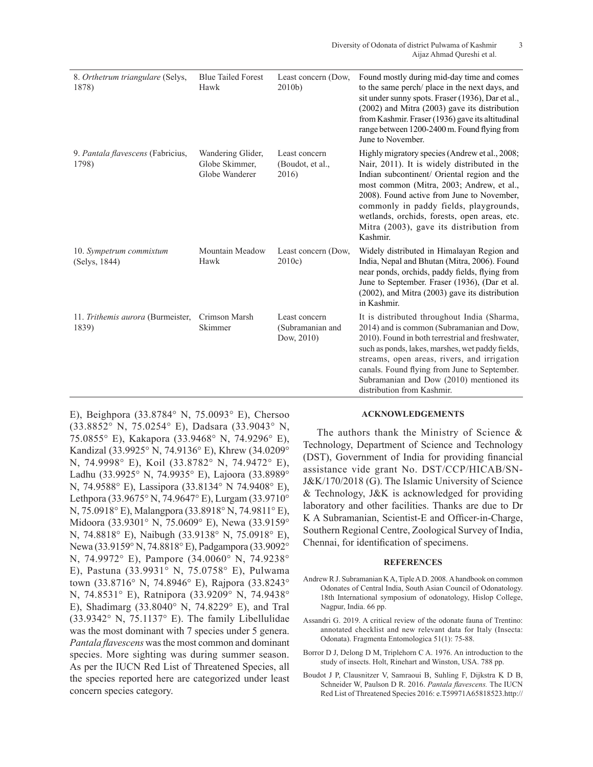| 8. Orthetrum triangulare (Selys,<br>1878)  | <b>Blue Tailed Forest</b><br>Hawk                     | Least concern (Dow,<br>$2010b$ )                | Found mostly during mid-day time and comes<br>to the same perch/ place in the next days, and<br>sit under sunny spots. Fraser (1936), Dar et al.,<br>$(2002)$ and Mitra $(2003)$ gave its distribution<br>from Kashmir. Fraser (1936) gave its altitudinal<br>range between 1200-2400 m. Found flying from<br>June to November.                                                             |
|--------------------------------------------|-------------------------------------------------------|-------------------------------------------------|---------------------------------------------------------------------------------------------------------------------------------------------------------------------------------------------------------------------------------------------------------------------------------------------------------------------------------------------------------------------------------------------|
| 9. Pantala flavescens (Fabricius,<br>1798) | Wandering Glider,<br>Globe Skimmer,<br>Globe Wanderer | Least concern<br>(Boudot, et al.,<br>2016)      | Highly migratory species (Andrew et al., 2008;<br>Nair, 2011). It is widely distributed in the<br>Indian subcontinent/ Oriental region and the<br>most common (Mitra, 2003; Andrew, et al.,<br>2008). Found active from June to November,<br>commonly in paddy fields, playgrounds,<br>wetlands, orchids, forests, open areas, etc.<br>Mitra (2003), gave its distribution from<br>Kashmir. |
| 10. Sympetrum commixtum<br>(Selys, 1844)   | Mountain Meadow<br>Hawk                               | Least concern (Dow,<br>2010c                    | Widely distributed in Himalayan Region and<br>India, Nepal and Bhutan (Mitra, 2006). Found<br>near ponds, orchids, paddy fields, flying from<br>June to September. Fraser (1936), (Dar et al.<br>$(2002)$ , and Mitra $(2003)$ gave its distribution<br>in Kashmir.                                                                                                                         |
| 11. Trithemis aurora (Burmeister,<br>1839) | Crimson Marsh<br>Skimmer                              | Least concern<br>(Subramanian and<br>Dow, 2010) | It is distributed throughout India (Sharma,<br>2014) and is common (Subramanian and Dow,<br>2010). Found in both terrestrial and freshwater,<br>such as ponds, lakes, marshes, wet paddy fields,<br>streams, open areas, rivers, and irrigation<br>canals. Found flying from June to September.<br>Subramanian and Dow (2010) mentioned its<br>distribution from Kashmir.                   |

E), Beighpora (33.8784° N, 75.0093° E), Chersoo (33.8852° N, 75.0254° E), Dadsara (33.9043° N, 75.0855° E), Kakapora (33.9468° N, 74.9296° E), Kandizal (33.9925° N, 74.9136° E), Khrew (34.0209° N, 74.9998° E), Koil (33.8782° N, 74.9472° E), Ladhu (33.9925° N, 74.9935° E), Lajoora (33.8989° N, 74.9588° E), Lassipora (33.8134° N 74.9408° E), Lethpora (33.9675° N, 74.9647° E), Lurgam (33.9710° N, 75.0918° E), Malangpora (33.8918° N, 74.9811° E), Midoora (33.9301° N, 75.0609° E), Newa (33.9159° N, 74.8818° E), Naibugh (33.9138° N, 75.0918° E), Newa (33.9159° N, 74.8818° E), Padgampora (33.9092° N, 74.9972° E), Pampore (34.0060° N, 74.9238° E), Pastuna (33.9931° N, 75.0758° E), Pulwama town (33.8716° N, 74.8946° E), Rajpora (33.8243° N, 74.8531° E), Ratnipora (33.9209° N, 74.9438° E), Shadimarg (33.8040° N, 74.8229° E), and Tral (33.9342° N, 75.1137° E). The family Libellulidae was the most dominant with 7 species under 5 genera. *Pantala flavescens* was the most common and dominant species. More sighting was during summer season. As per the IUCN Red List of Threatened Species, all the species reported here are categorized under least concern species category.

### **ACKNOWLEDGEMENTS**

The authors thank the Ministry of Science & Technology, Department of Science and Technology (DST), Government of India for providing financial assistance vide grant No. DST/CCP/HICAB/SN-J&K/170/2018 (G). The Islamic University of Science & Technology, J&K is acknowledged for providing laboratory and other facilities. Thanks are due to Dr K A Subramanian, Scientist-E and Officer-in-Charge, Southern Regional Centre, Zoological Survey of India, Chennai, for identification of specimens.

#### **REFERENCES**

- Andrew R J. Subramanian K A, Tiple A D. 2008. A handbook on common Odonates of Central India, South Asian Council of Odonatology. 18th International symposium of odonatology, Hislop College, Nagpur, India. 66 pp.
- Assandri G. 2019. A critical review of the odonate fauna of Trentino: annotated checklist and new relevant data for Italy (Insecta: Odonata). Fragmenta Entomologica 51(1): 75-88.
- Borror D J, Delong D M, Triplehorn C A. 1976. An introduction to the study of insects. Holt, Rinehart and Winston, USA. 788 pp.
- Boudot J P, Clausnitzer V, Samraoui B, Suhling F, Dijkstra K D B, Schneider W, Paulson D R. 2016. *Pantala flavescens.* The IUCN Red List of Threatened Species 2016: e.T59971A65818523.http://